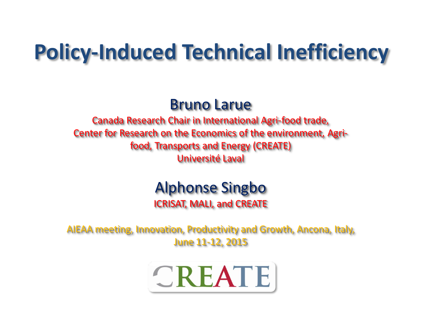# **Policy-Induced Technical Inefficiency**

#### Bruno Larue

Canada Research Chair in International Agri-food trade, Center for Research on the Economics of the environment, Agrifood, Transports and Energy (CREATE) Université Laval

# Alphonse Singbo

ICRISAT, MALI, and CREATE

AIEAA meeting, Innovation, Productivity and Growth, Ancona, Italy, June 11-12, 2015

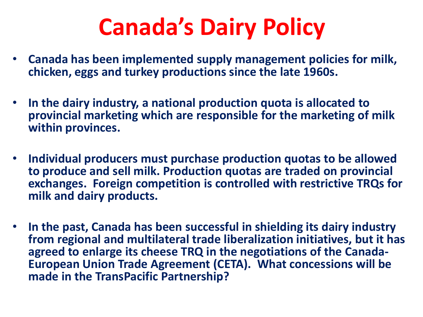# **Canada's Dairy Policy**

- **Canada has been implemented supply management policies for milk, chicken, eggs and turkey productions since the late 1960s.**
- **In the dairy industry, a national production quota is allocated to provincial marketing which are responsible for the marketing of milk within provinces.**
- **Individual producers must purchase production quotas to be allowed to produce and sell milk. Production quotas are traded on provincial exchanges. Foreign competition is controlled with restrictive TRQs for milk and dairy products.**
- **In the past, Canada has been successful in shielding its dairy industry from regional and multilateral trade liberalization initiatives, but it has agreed to enlarge its cheese TRQ in the negotiations of the Canada-European Union Trade Agreement (CETA). What concessions will be made in the TransPacific Partnership?**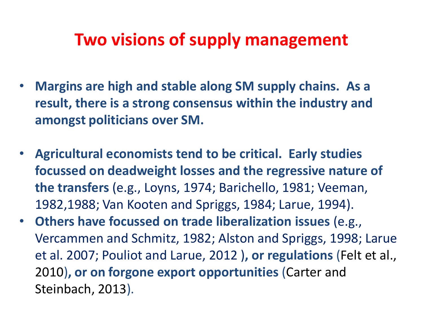## **Two visions of supply management**

- **Margins are high and stable along SM supply chains. As a result, there is a strong consensus within the industry and amongst politicians over SM.**
- **Agricultural economists tend to be critical. Early studies focussed on deadweight losses and the regressive nature of the transfers** (e.g., Loyns, 1974; Barichello, 1981; Veeman, 1982,1988; Van Kooten and Spriggs, 1984; Larue, 1994).
- **Others have focussed on trade liberalization issues** (e.g., Vercammen and Schmitz, 1982; Alston and Spriggs, 1998; Larue et al. 2007; Pouliot and Larue, 2012 )**, or regulations** (Felt et al., 2010)**, or on forgone export opportunities** (Carter and Steinbach, 2013).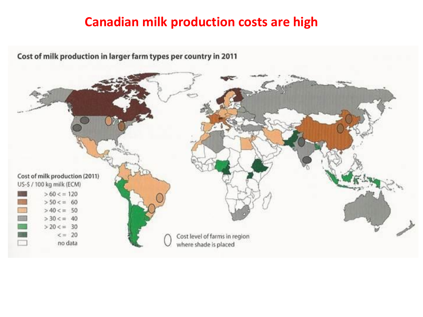#### **Canadian milk production costs are high**

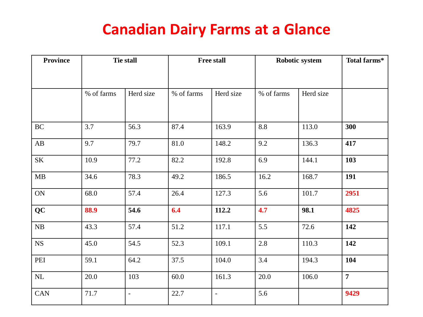#### **Canadian Dairy Farms at a Glance**

| <b>Province</b>        | <b>Tie stall</b> |               | <b>Free stall</b> |                          | Robotic system |           | Total farms*   |
|------------------------|------------------|---------------|-------------------|--------------------------|----------------|-----------|----------------|
|                        |                  |               |                   |                          |                |           |                |
|                        | % of farms       | Herd size     | % of farms        | Herd size                | % of farms     | Herd size |                |
| $\operatorname{BC}$    | 3.7              | 56.3          | 87.4              | 163.9                    | 8.8            | 113.0     | 300            |
| $\mathbf{A}\mathbf{B}$ | 9.7              | 79.7          | 81.0              | 148.2                    | 9.2            | 136.3     | 417            |
| $\rm SK$               | 10.9             | 77.2          | 82.2              | 192.8                    | 6.9            | 144.1     | 103            |
| MB                     | 34.6             | 78.3          | 49.2              | 186.5                    | 16.2           | 168.7     | 191            |
| ON                     | 68.0             | 57.4          | 26.4              | 127.3                    | 5.6            | 101.7     | 2951           |
| <b>QC</b>              | 88.9             | 54.6          | 6.4               | 112.2                    | 4.7            | 98.1      | 4825           |
| ${\rm NB}$             | 43.3             | 57.4          | 51.2              | 117.1                    | 5.5            | 72.6      | 142            |
| ${\rm NS}$             | 45.0             | 54.5          | 52.3              | 109.1                    | 2.8            | 110.3     | 142            |
| PEI                    | 59.1             | 64.2          | 37.5              | 104.0                    | 3.4            | 194.3     | 104            |
| $\hbox{NL}$            | 20.0             | 103           | 60.0              | 161.3                    | 20.0           | 106.0     | $\overline{7}$ |
| <b>CAN</b>             | 71.7             | $\frac{1}{2}$ | 22.7              | $\overline{\phantom{a}}$ | 5.6            |           | 9429           |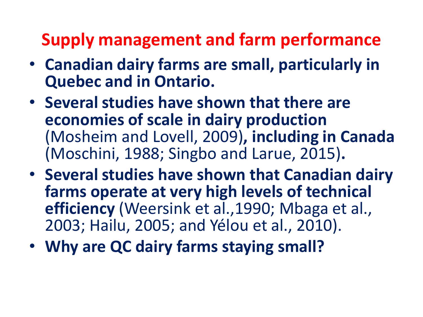## **Supply management and farm performance**

- **Canadian dairy farms are small, particularly in Quebec and in Ontario.**
- **Several studies have shown that there are economies of scale in dairy production**  (Mosheim and Lovell, 2009)**, including in Canada**  (Moschini, 1988; Singbo and Larue, 2015)**.**
- **Several studies have shown that Canadian dairy farms operate at very high levels of technical efficiency** (Weersink et al.,1990; Mbaga et al., 2003; Hailu, 2005; and Yélou et al., 2010).
- **Why are QC dairy farms staying small?**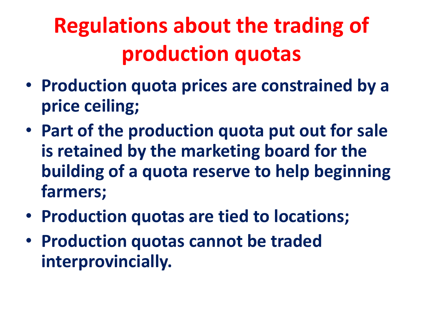# **Regulations about the trading of production quotas**

- **Production quota prices are constrained by a price ceiling;**
- **Part of the production quota put out for sale is retained by the marketing board for the building of a quota reserve to help beginning farmers;**
- **Production quotas are tied to locations;**
- **Production quotas cannot be traded interprovincially.**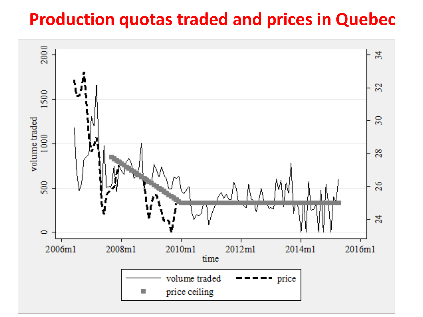## **Production quotas traded and prices in Quebec**

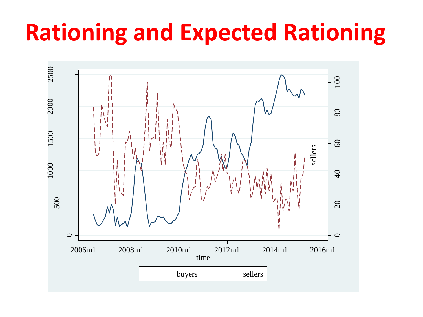# **Rationing and Expected Rationing**

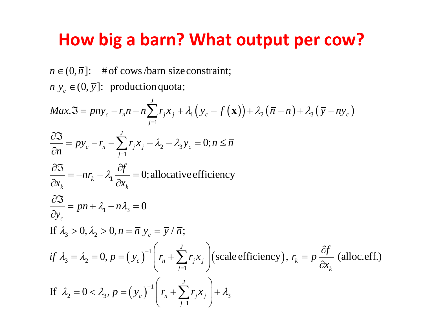# **How big a barn? What output per cow?**<br>  $n \in (0, \overline{n}]$ : #of cows/barn size constraint;

 $\in (0, \overline{n}]$ : #of cows/barn size<br> $y_c \in (0, \overline{y}]$ : production quota;  $n \in (0, \overline{n}];$ <br>  $n y_c \in (0, \overline{y})$  $n \in (0, \overline{n}]$ : # of cows/barn size constraint;

*c*  $\in$ 

$$
n \in (0, \overline{n}]: \text{ # of cows/barn size constraint};
$$
\n
$$
n y_c \in (0, \overline{y}]: \text{ production quota};
$$
\n
$$
Max.\overline{3} = pn y_c - r_n n - n \sum_{j=1}^{J} r_j x_j + \lambda_1 (y_c - f(\mathbf{x})) + \lambda_2 (\overline{n} - n) + \lambda_3 (\overline{y} - n y_c)
$$
\n
$$
\frac{\partial \overline{3}}{\partial n} = py_c - r_n - \sum_{j=1}^{J} r_j x_j - \lambda_2 - \lambda_3 y_c = 0; n \leq \overline{n}
$$
\n
$$
\frac{\partial \overline{3}}{\partial x_k} = -nr_k - \lambda_1 \frac{\partial f}{\partial x_k} = 0; \text{allowative efficiency}
$$
\n
$$
\frac{\partial \overline{3}}{\partial y_c} = pn + \lambda_1 - n \lambda_3 = 0
$$
\nIf  $\lambda_3 > 0, \lambda_2 > 0, n = \overline{n} y_c = \overline{y} / \overline{n};$ \n
$$
if \lambda_3 = \lambda_2 = 0, p = (y_c)^{-1} \left( r_n + \sum_{j=1}^{J} r_j x_j \right) \text{(scale efficiency)}, r_k = p \frac{\partial f}{\partial x_k} \text{ (alloc.eff.)}
$$
\nIf  $\lambda_2 = 0 < \lambda_3, p = (y_c)^{-1} \left( r_n + \sum_{j=1}^{J} r_j x_j \right) + \lambda_3$ 

If 
$$
\lambda_2 = 0 < \lambda_3
$$
,  $p = (y_c)^{-1} \left( r_n + \sum_{j=1}^J r_j x_j \right) + \lambda_3$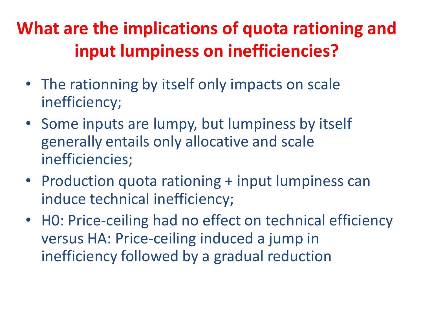## **What are the implications of quota rationing and input lumpiness on inefficiencies?**

- The rationning by itself only impacts on scale inefficiency;
- Some inputs are lumpy, but lumpiness by itself generally entails only allocative and scale inefficiencies;
- Production quota rationing + input lumpiness can induce technical inefficiency;
- HO: Price-ceiling had no effect on technical efficiency versus HA: Price-ceiling induced a jump in inefficiency followed by a gradual reduction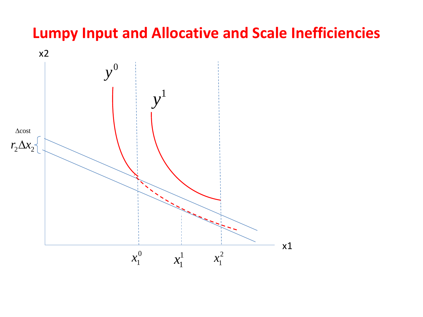#### **Lumpy Input and Allocative and Scale Inefficiencies**

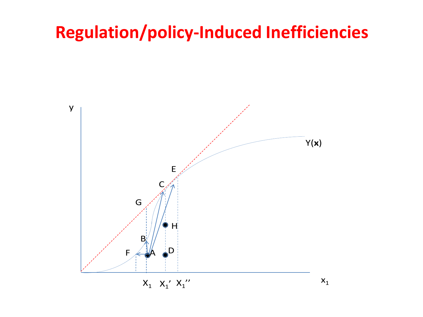## **Regulation/policy-Induced Inefficiencies**

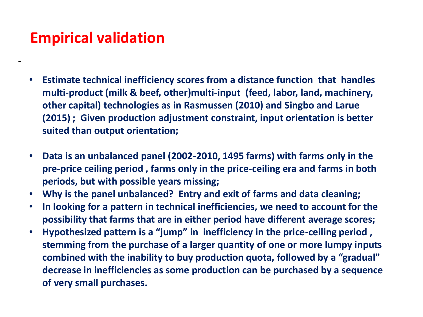#### **Empirical validation**

-

- **Estimate technical inefficiency scores from a distance function that handles multi-product (milk & beef, other)multi-input (feed, labor, land, machinery, other capital) technologies as in Rasmussen (2010) and Singbo and Larue (2015) ; Given production adjustment constraint, input orientation is better suited than output orientation;**
- **Data is an unbalanced panel (2002-2010, 1495 farms) with farms only in the pre-price ceiling period , farms only in the price-ceiling era and farms in both periods, but with possible years missing;**
- **Why is the panel unbalanced? Entry and exit of farms and data cleaning;**
- **In looking for a pattern in technical inefficiencies, we need to account for the possibility that farms that are in either period have different average scores;**
- **Hypothesized pattern is a "jump" in inefficiency in the price-ceiling period , stemming from the purchase of a larger quantity of one or more lumpy inputs combined with the inability to buy production quota, followed by a "gradual" decrease in inefficiencies as some production can be purchased by a sequence of very small purchases.**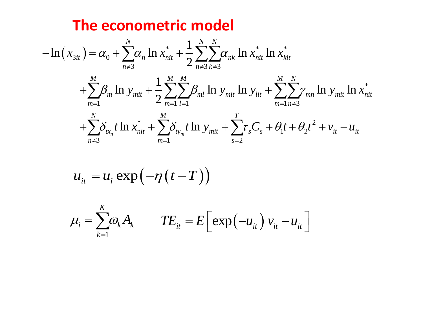#### The econometric model

$$
-\ln(x_{3it}) = \alpha_0 + \sum_{n \neq 3}^{N} \alpha_n \ln x_{nit}^* + \frac{1}{2} \sum_{n \neq 3}^{N} \sum_{k \neq 3}^{N} \alpha_{nk} \ln x_{nit}^* \ln x_{kit}^*
$$
  
+ 
$$
\sum_{m=1}^{M} \beta_m \ln y_{mit} + \frac{1}{2} \sum_{m=1}^{M} \sum_{l=1}^{M} \beta_{ml} \ln y_{mit} \ln y_{lit} + \sum_{m=1}^{M} \sum_{n \neq 3}^{N} \gamma_{mn} \ln y_{mit} \ln x_{nit}^*
$$
  
+ 
$$
\sum_{n \neq 3}^{N} \delta_{tx_n} t \ln x_{nit}^* + \sum_{m=1}^{M} \delta_{ty_m} t \ln y_{mit} + \sum_{s=2}^{T} \tau_s C_s + \theta_1 t + \theta_2 t^2 + v_{it} - u_{it}
$$

$$
u_{it} = u_i \exp(-\eta(t-T))
$$

$$
\mu_i = \sum_{k=1}^K \omega_k A_k \qquad TE_{it} = E\Big[\exp\Big(-u_{it}\Big)\Big|v_{it} - u_{it}\Big]
$$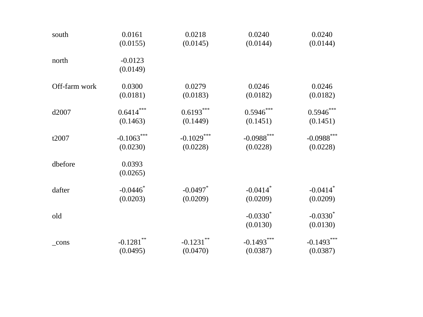| south         | 0.0161       | 0.0218       | 0.0240                 | 0.0240                 |
|---------------|--------------|--------------|------------------------|------------------------|
|               | (0.0155)     | (0.0145)     | (0.0144)               | (0.0144)               |
| north         | $-0.0123$    |              |                        |                        |
|               | (0.0149)     |              |                        |                        |
| Off-farm work | 0.0300       | 0.0279       | 0.0246                 | 0.0246                 |
|               | (0.0181)     | (0.0183)     | (0.0182)               | (0.0182)               |
| d2007         | $0.6414***$  | $0.6193***$  | $0.5946***$            | $0.5946***$            |
|               | (0.1463)     | (0.1449)     | (0.1451)               | (0.1451)               |
| t2007         | $-0.1063***$ | $-0.1029***$ | $-0.0988***$           | $-0.0988***$           |
|               | (0.0230)     | (0.0228)     | (0.0228)               | (0.0228)               |
| dbefore       | 0.0393       |              |                        |                        |
|               | (0.0265)     |              |                        |                        |
| dafter        | $-0.0446$ *  | $-0.0497$ *  | $-0.0414$ <sup>*</sup> | $-0.0414$ <sup>*</sup> |
|               | (0.0203)     | (0.0209)     | (0.0209)               | (0.0209)               |
| old           |              |              | $-0.0330^*$            | $-0.0330^*$            |
|               |              |              | (0.0130)               | (0.0130)               |
| $_{\rm cons}$ | $-0.1281$ ** | $-0.1231***$ | $-0.1493***$           | $-0.1493***$           |
|               | (0.0495)     | (0.0470)     | (0.0387)               | (0.0387)               |